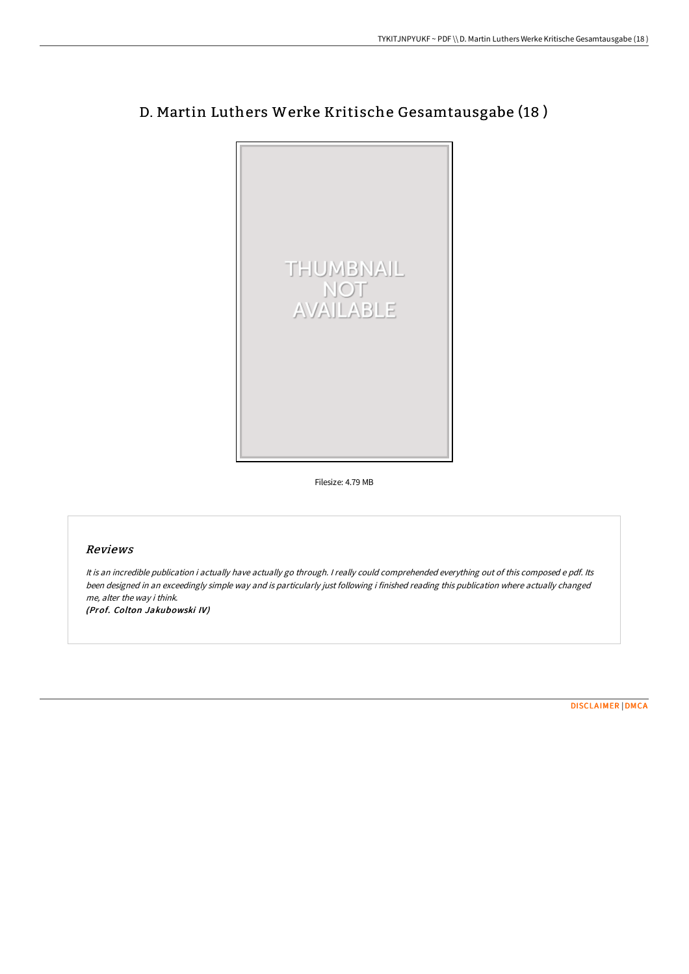

# D. Martin Luthers Werke Kritische Gesamtausgabe (18 )

Filesize: 4.79 MB

### Reviews

It is an incredible publication i actually have actually go through. <sup>I</sup> really could comprehended everything out of this composed <sup>e</sup> pdf. Its been designed in an exceedingly simple way and is particularly just following i finished reading this publication where actually changed me, alter the way i think.

(Prof. Colton Jakubowski IV)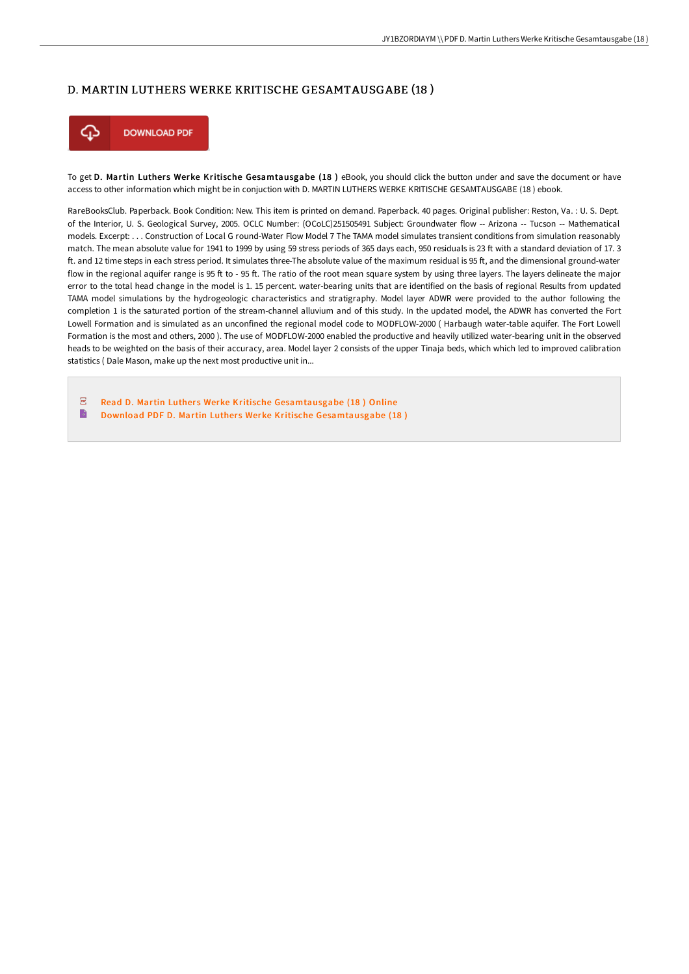#### D. MARTIN LUTHERS WERKE KRITISCHE GESAMTAUSGABE (18 )



To get D. Martin Luthers Werke Kritische Gesamtausgabe (18) eBook, you should click the button under and save the document or have access to other information which might be in conjuction with D. MARTIN LUTHERS WERKE KRITISCHE GESAMTAUSGABE (18 ) ebook.

RareBooksClub. Paperback. Book Condition: New. This item is printed on demand. Paperback. 40 pages. Original publisher: Reston, Va. : U. S. Dept. of the Interior, U. S. Geological Survey, 2005. OCLC Number: (OCoLC)251505491 Subject: Groundwater flow -- Arizona -- Tucson -- Mathematical models. Excerpt: . . . Construction of Local G round-Water Flow Model 7 The TAMA model simulates transient conditions from simulation reasonably match. The mean absolute value for 1941 to 1999 by using 59 stress periods of 365 days each, 950 residuals is 23 F with a standard deviation of 17. 3 F. and 12 time steps in each stress period. It simulates three-The absolute value of the maximum residual is 95 F, and the dimensional ground-water flow in the regional aquifer range is 95 ft to - 95 ft. The ratio of the root mean square system by using three layers. The layers delineate the major error to the total head change in the model is 1. 15 percent. water-bearing units that are identified on the basis of regional Results from updated TAMA model simulations by the hydrogeologic characteristics and stratigraphy. Model layer ADWR were provided to the author following the completion 1 is the saturated portion of the stream-channel alluvium and of this study. In the updated model, the ADWR has converted the Fort Lowell Formation and is simulated as an unconfined the regional model code to MODFLOW-2000 ( Harbaugh water-table aquifer. The Fort Lowell Formation is the most and others, 2000 ). The use of MODFLOW-2000 enabled the productive and heavily utilized water-bearing unit in the observed heads to be weighted on the basis of their accuracy, area. Model layer 2 consists of the upper Tinaja beds, which which led to improved calibration statistics ( Dale Mason, make up the next most productive unit in...

 $\sqrt{\text{p} \cdot \text{p}}$ Read D. Martin Luthers Werke Kritische [Gesamtausgabe](http://digilib.live/d-martin-luthers-werke-kritische-gesamtausgabe-1.html) (18) Online B Download PDF D. Martin Luthers Werke Kritische [Gesamtausgabe](http://digilib.live/d-martin-luthers-werke-kritische-gesamtausgabe-1.html) (18)